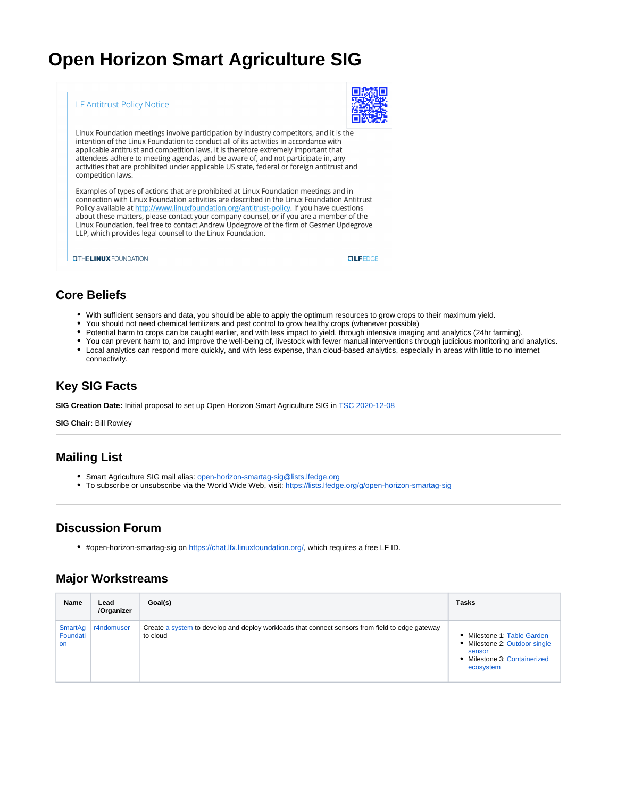# **Open Horizon Smart Agriculture SIG**



# **Core Beliefs**

- With sufficient sensors and data, you should be able to apply the optimum resources to grow crops to their maximum yield.
- You should not need chemical fertilizers and pest control to grow healthy crops (whenever possible)
- $\bullet$ Potential harm to crops can be caught earlier, and with less impact to yield, through intensive imaging and analytics (24hr farming).
- You can prevent harm to, and improve the well-being of, livestock with fewer manual interventions through judicious monitoring and analytics.
- Local analytics can respond more quickly, and with less expense, than cloud-based analytics, especially in areas with little to no internet connectivity.

# **Key SIG Facts**

**SIG Creation Date:** Initial proposal to set up Open Horizon Smart Agriculture SIG in [TSC 2020-12-08](https://wiki.lfedge.org/display/OH/TSC+2020-12-08)

**SIG Chair:** Bill Rowley

## **Mailing List**

- Smart Agriculture SIG mail alias: [open-horizon-smartag-sig@lists.lfedge.org](mailto:open-horizon-smartag-sig@lists.lfedge.org)
- To subscribe or unsubscribe via the World Wide Web, visit: <https://lists.lfedge.org/g/open-horizon-smartag-sig>

### **Discussion Forum**

#open-horizon-smartag-sig on <https://chat.lfx.linuxfoundation.org/>, which requires a free LF ID.

### **Major Workstreams**

| Name                      | Lead<br>/Organizer | Goal(s)                                                                                                     | <b>Tasks</b>                                                                                                        |
|---------------------------|--------------------|-------------------------------------------------------------------------------------------------------------|---------------------------------------------------------------------------------------------------------------------|
| SmartAg<br>Foundati<br>on | r4ndomuser         | Create a system to develop and deploy workloads that connect sensors from field to edge gateway<br>to cloud | • Milestone 1: Table Garden<br>• Milestone 2: Outdoor single<br>sensor<br>• Milestone 3: Containerized<br>ecosystem |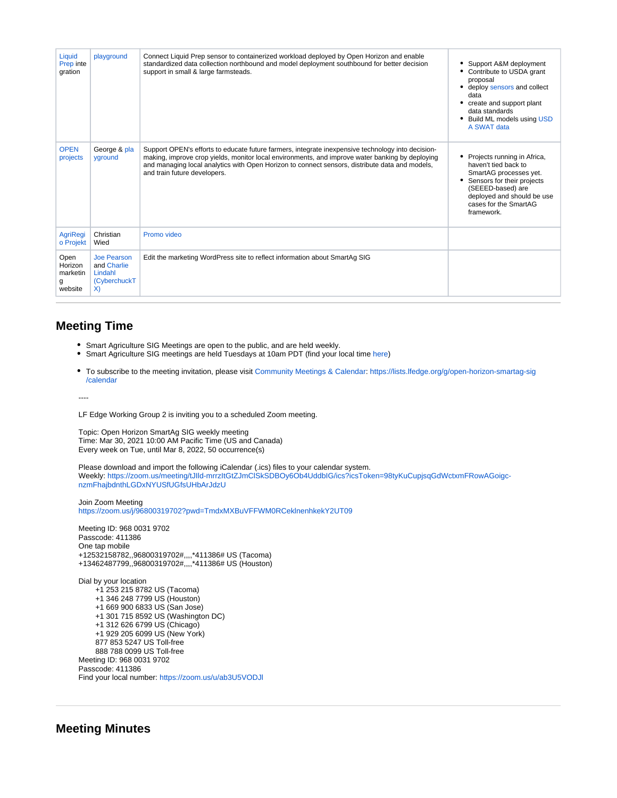| Liquid<br>Prep inte<br>gration              | playground                                                         | Connect Liquid Prep sensor to containerized workload deployed by Open Horizon and enable<br>standardized data collection northbound and model deployment southbound for better decision<br>support in small & large farmsteads.                                                                                                        | • Support A&M deployment<br>• Contribute to USDA grant<br>proposal<br>deploy sensors and collect<br>data<br>• create and support plant<br>data standards<br>• Build ML models using USD<br>A SWAT data  |
|---------------------------------------------|--------------------------------------------------------------------|----------------------------------------------------------------------------------------------------------------------------------------------------------------------------------------------------------------------------------------------------------------------------------------------------------------------------------------|---------------------------------------------------------------------------------------------------------------------------------------------------------------------------------------------------------|
| <b>OPEN</b><br>projects                     | George & pla<br>yground                                            | Support OPEN's efforts to educate future farmers, integrate inexpensive technology into decision-<br>making, improve crop yields, monitor local environments, and improve water banking by deploying<br>and managing local analytics with Open Horizon to connect sensors, distribute data and models,<br>and train future developers. | • Projects running in Africa,<br>haven't tied back to<br>SmartAG processes yet.<br>Sensors for their projects<br>(SEEED-based) are<br>deployed and should be use<br>cases for the SmartAG<br>framework. |
| <b>AgriRegi</b><br>o Projekt                | Christian<br>Wied                                                  | Promo video                                                                                                                                                                                                                                                                                                                            |                                                                                                                                                                                                         |
| Open<br>Horizon<br>marketin<br>g<br>website | <b>Joe Pearson</b><br>and Charlie<br>Lindahl<br>(CyberchuckT<br>X) | Edit the marketing WordPress site to reflect information about SmartAg SIG                                                                                                                                                                                                                                                             |                                                                                                                                                                                                         |

#### **Meeting Time**

- Smart Agriculture SIG Meetings are open to the public, and are held weekly.
- Smart Agriculture SIG meetings are held Tuesdays at 10am PDT (find your local time [here](https://www.worldtimebuddy.com/))
- To subscribe to the meeting invitation, please visit [Community Meetings & Calendar](https://wiki.lfedge.org/pages/viewpage.action?pageId=5411359): [https://lists.lfedge.org/g/open-horizon-smartag-sig](https://lists.lfedge.org/g/open-horizon-smartag-sig/calendar) [/calendar](https://lists.lfedge.org/g/open-horizon-smartag-sig/calendar)

----

LF Edge Working Group 2 is inviting you to a scheduled Zoom meeting.

Topic: Open Horizon SmartAg SIG weekly meeting Time: Mar 30, 2021 10:00 AM Pacific Time (US and Canada) Every week on Tue, until Mar 8, 2022, 50 occurrence(s)

Please download and import the following iCalendar (.ics) files to your calendar system. Weekly: [https://zoom.us/meeting/tJIld-mrrzItGtZJmClSkSDBOy6Ob4UddbIG/ics?icsToken=98tyKuCupjsqGdWctxmFRowAGoigc](https://zoom.us/meeting/tJIld-mrrzItGtZJmClSkSDBOy6Ob4UddbIG/ics?icsToken=98tyKuCupjsqGdWctxmFRowAGoigc-nzmFhajbdnthLGDxNYUSfUGfsUHbArJdzU)[nzmFhajbdnthLGDxNYUSfUGfsUHbArJdzU](https://zoom.us/meeting/tJIld-mrrzItGtZJmClSkSDBOy6Ob4UddbIG/ics?icsToken=98tyKuCupjsqGdWctxmFRowAGoigc-nzmFhajbdnthLGDxNYUSfUGfsUHbArJdzU)

Join Zoom Meeting <https://zoom.us/j/96800319702?pwd=TmdxMXBuVFFWM0RCeklnenhkekY2UT09>

Meeting ID: 968 0031 9702 Passcode: 411386 One tap mobile +12532158782,,96800319702#,,,,\*411386# US (Tacoma) +13462487799,,96800319702#,,,,\*411386# US (Houston)

Dial by your location +1 253 215 8782 US (Tacoma) +1 346 248 7799 US (Houston) +1 669 900 6833 US (San Jose) +1 301 715 8592 US (Washington DC) +1 312 626 6799 US (Chicago) +1 929 205 6099 US (New York) 877 853 5247 US Toll-free 888 788 0099 US Toll-free Meeting ID: 968 0031 9702 Passcode: 411386 Find your local number:<https://zoom.us/u/ab3U5VODJl>

**Meeting Minutes**